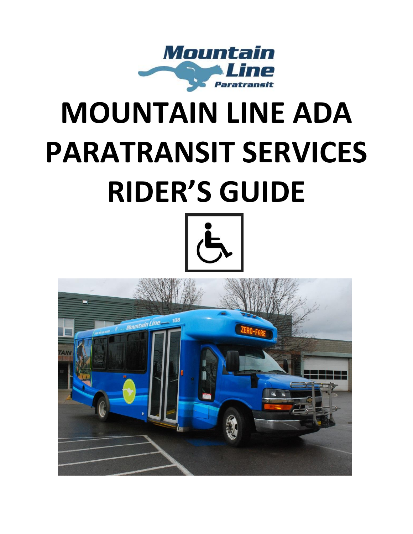

# **MOUNTAIN LINE ADA PARATRANSIT SERVICES RIDER'S GUIDE**



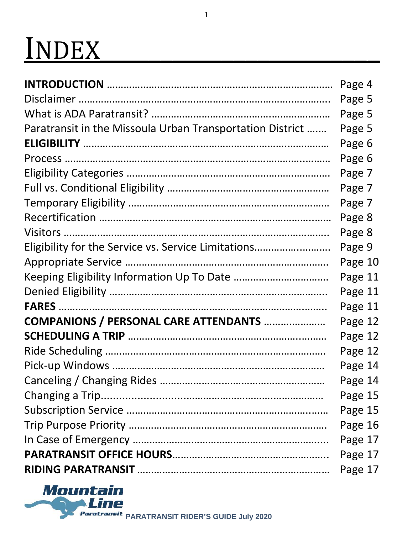# INDEX\_\_\_\_\_\_\_\_\_\_\_\_\_\_\_\_\_\_\_\_\_\_\_

|                                                           | Page 4  |
|-----------------------------------------------------------|---------|
|                                                           | Page 5  |
|                                                           | Page 5  |
| Paratransit in the Missoula Urban Transportation District | Page 5  |
|                                                           | Page 6  |
|                                                           | Page 6  |
|                                                           | Page 7  |
|                                                           | Page 7  |
|                                                           | Page 7  |
|                                                           | Page 8  |
|                                                           | Page 8  |
| Eligibility for the Service vs. Service Limitations       | Page 9  |
|                                                           | Page 10 |
|                                                           | Page 11 |
|                                                           | Page 11 |
|                                                           | Page 11 |
| <b>COMPANIONS / PERSONAL CARE ATTENDANTS </b>             | Page 12 |
|                                                           | Page 12 |
|                                                           | Page 12 |
|                                                           | Page 14 |
|                                                           | Page 14 |
|                                                           | Page 15 |
|                                                           | Page 15 |
|                                                           | Page 16 |
|                                                           | Page 17 |
|                                                           | Page 17 |
|                                                           | Page 17 |

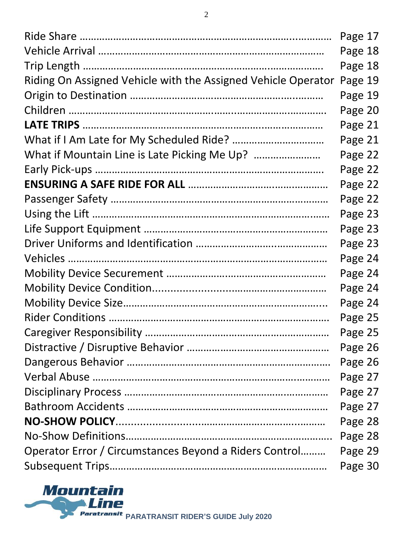|                                                               | Page 17 |
|---------------------------------------------------------------|---------|
|                                                               | Page 18 |
|                                                               | Page 18 |
| Riding On Assigned Vehicle with the Assigned Vehicle Operator | Page 19 |
|                                                               | Page 19 |
|                                                               | Page 20 |
|                                                               | Page 21 |
|                                                               | Page 21 |
|                                                               | Page 22 |
|                                                               | Page 22 |
|                                                               | Page 22 |
|                                                               | Page 22 |
|                                                               | Page 23 |
|                                                               | Page 23 |
|                                                               | Page 23 |
|                                                               | Page 24 |
|                                                               | Page 24 |
|                                                               | Page 24 |
|                                                               | Page 24 |
|                                                               | Page 25 |
|                                                               | Page 25 |
|                                                               | Page 26 |
|                                                               | Page 26 |
|                                                               | Page 27 |
|                                                               | Page 27 |
|                                                               | Page 27 |
|                                                               | Page 28 |
|                                                               | Page 28 |
| Operator Error / Circumstances Beyond a Riders Control        | Page 29 |
|                                                               | Page 30 |

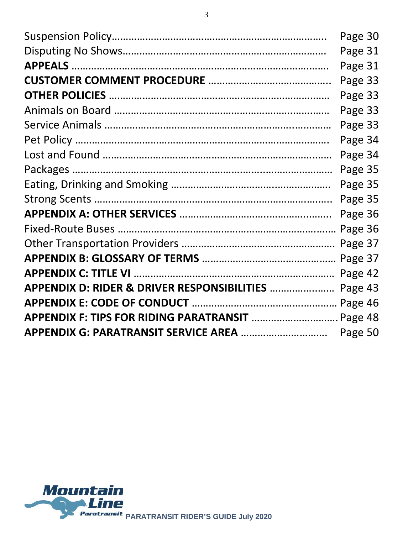|                                                  | Page 30 |  |
|--------------------------------------------------|---------|--|
|                                                  | Page 31 |  |
|                                                  | Page 31 |  |
|                                                  | Page 33 |  |
|                                                  | Page 33 |  |
|                                                  | Page 33 |  |
|                                                  | Page 33 |  |
|                                                  | Page 34 |  |
|                                                  | Page 34 |  |
|                                                  | Page 35 |  |
|                                                  | Page 35 |  |
|                                                  | Page 35 |  |
|                                                  | Page 36 |  |
|                                                  | Page 36 |  |
|                                                  |         |  |
|                                                  | Page 37 |  |
|                                                  | Page 42 |  |
| APPENDIX D: RIDER & DRIVER RESPONSIBILITIES      | Page 43 |  |
|                                                  |         |  |
| APPENDIX F: TIPS FOR RIDING PARATRANSIT  Page 48 |         |  |
|                                                  | Page 50 |  |

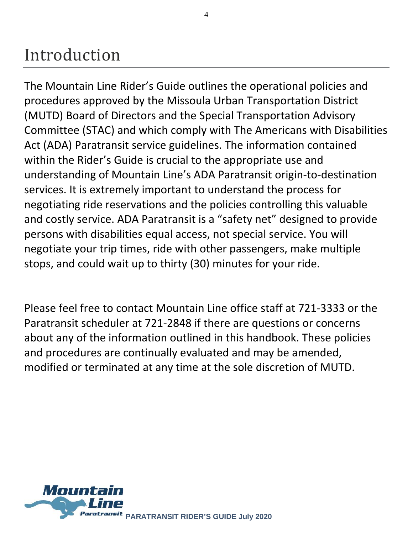## Introduction

The Mountain Line Rider's Guide outlines the operational policies and procedures approved by the Missoula Urban Transportation District (MUTD) Board of Directors and the Special Transportation Advisory Committee (STAC) and which comply with The Americans with Disabilities Act (ADA) Paratransit service guidelines. The information contained within the Rider's Guide is crucial to the appropriate use and understanding of Mountain Line's ADA Paratransit origin-to-destination services. It is extremely important to understand the process for negotiating ride reservations and the policies controlling this valuable and costly service. ADA Paratransit is a "safety net" designed to provide persons with disabilities equal access, not special service. You will negotiate your trip times, ride with other passengers, make multiple stops, and could wait up to thirty (30) minutes for your ride.

Please feel free to contact Mountain Line office staff at 721-3333 or the Paratransit scheduler at 721-2848 if there are questions or concerns about any of the information outlined in this handbook. These policies and procedures are continually evaluated and may be amended, modified or terminated at any time at the sole discretion of MUTD.

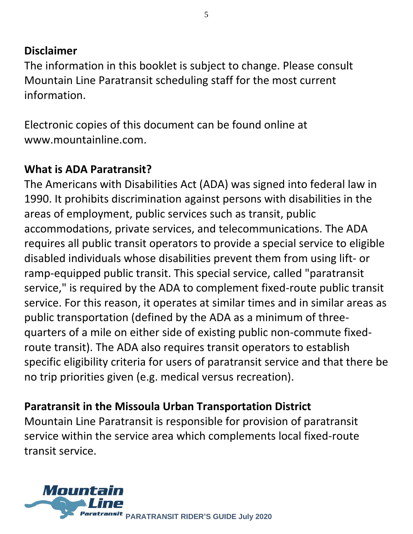#### **Disclaimer**

The information in this booklet is subject to change. Please consult Mountain Line Paratransit scheduling staff for the most current information.

Electronic copies of this document can be found online at [www.mountainline.com.](http://www.mountainline.com/)

#### **What is ADA Paratransit?**

The Americans with Disabilities Act (ADA) was signed into federal law in 1990. It prohibits discrimination against persons with disabilities in the areas of employment, public services such as transit, public accommodations, private services, and telecommunications. The ADA requires all public transit operators to provide a special service to eligible disabled individuals whose disabilities prevent them from using lift- or ramp-equipped public transit. This special service, called "paratransit service," is required by the ADA to complement fixed-route public transit service. For this reason, it operates at similar times and in similar areas as public transportation (defined by the ADA as a minimum of threequarters of a mile on either side of existing public non-commute fixedroute transit). The ADA also requires transit operators to establish specific eligibility criteria for users of paratransit service and that there be no trip priorities given (e.g. medical versus recreation).

#### **Paratransit in the Missoula Urban Transportation District**

Mountain Line Paratransit is responsible for provision of paratransit service within the service area which complements local fixed-route transit service.

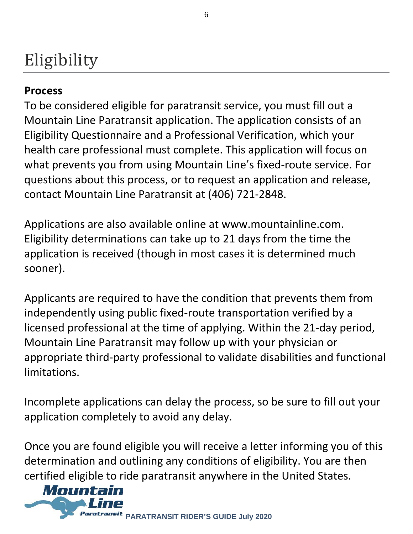# Eligibility

#### **Process**

To be considered eligible for paratransit service, you must fill out a Mountain Line Paratransit application. The application consists of an Eligibility Questionnaire and a Professional Verification, which your health care professional must complete. This application will focus on what prevents you from using Mountain Line's fixed-route service. For questions about this process, or to request an application and release, contact Mountain Line Paratransit at (406) 721-2848.

Applications are also available online at www.mountainline.com. Eligibility determinations can take up to 21 days from the time the application is received (though in most cases it is determined much sooner).

Applicants are required to have the condition that prevents them from independently using public fixed-route transportation verified by a licensed professional at the time of applying. Within the 21-day period, Mountain Line Paratransit may follow up with your physician or appropriate third-party professional to validate disabilities and functional limitations.

Incomplete applications can delay the process, so be sure to fill out your application completely to avoid any delay.

Once you are found eligible you will receive a letter informing you of this determination and outlining any conditions of eligibility. You are then certified eligible to ride paratransit anywhere in the United States.

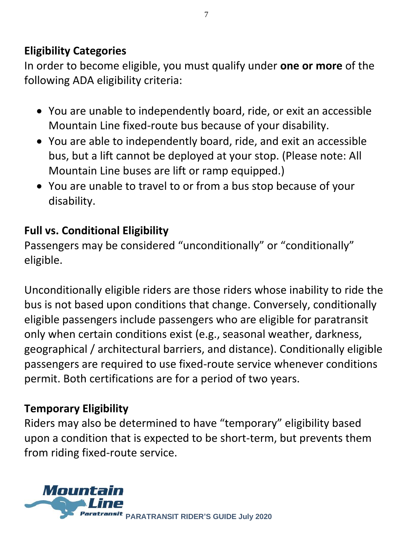#### **Eligibility Categories**

In order to become eligible, you must qualify under **one or more** of the following ADA eligibility criteria:

- You are unable to independently board, ride, or exit an accessible Mountain Line fixed-route bus because of your disability.
- You are able to independently board, ride, and exit an accessible bus, but a lift cannot be deployed at your stop. (Please note: All Mountain Line buses are lift or ramp equipped.)
- You are unable to travel to or from a bus stop because of your disability.

#### **Full vs. Conditional Eligibility**

Passengers may be considered "unconditionally" or "conditionally" eligible.

Unconditionally eligible riders are those riders whose inability to ride the bus is not based upon conditions that change. Conversely, conditionally eligible passengers include passengers who are eligible for paratransit only when certain conditions exist (e.g., seasonal weather, darkness, geographical / architectural barriers, and distance). Conditionally eligible passengers are required to use fixed-route service whenever conditions permit. Both certifications are for a period of two years.

#### **Temporary Eligibility**

Riders may also be determined to have "temporary" eligibility based upon a condition that is expected to be short-term, but prevents them from riding fixed-route service.

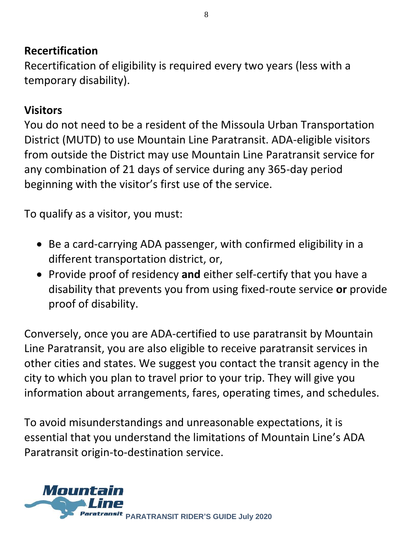#### **Recertification**

Recertification of eligibility is required every two years (less with a temporary disability).

#### **Visitors**

You do not need to be a resident of the Missoula Urban Transportation District (MUTD) to use Mountain Line Paratransit. ADA-eligible visitors from outside the District may use Mountain Line Paratransit service for any combination of 21 days of service during any 365-day period beginning with the visitor's first use of the service.

To qualify as a visitor, you must:

- Be a card-carrying ADA passenger, with confirmed eligibility in a different transportation district, or,
- Provide proof of residency **and** either self-certify that you have a disability that prevents you from using fixed-route service **or** provide proof of disability.

Conversely, once you are ADA-certified to use paratransit by Mountain Line Paratransit, you are also eligible to receive paratransit services in other cities and states. We suggest you contact the transit agency in the city to which you plan to travel prior to your trip. They will give you information about arrangements, fares, operating times, and schedules.

To avoid misunderstandings and unreasonable expectations, it is essential that you understand the limitations of Mountain Line's ADA Paratransit origin-to-destination service.

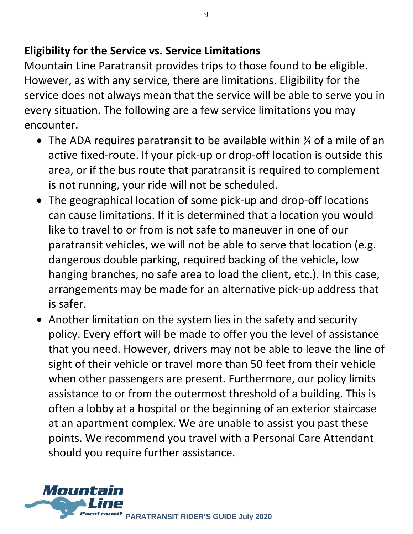#### **Eligibility for the Service vs. Service Limitations**

Mountain Line Paratransit provides trips to those found to be eligible. However, as with any service, there are limitations. Eligibility for the service does not always mean that the service will be able to serve you in every situation. The following are a few service limitations you may encounter.

- The ADA requires paratransit to be available within ¾ of a mile of an active fixed-route. If your pick-up or drop-off location is outside this area, or if the bus route that paratransit is required to complement is not running, your ride will not be scheduled.
- The geographical location of some pick-up and drop-off locations can cause limitations. If it is determined that a location you would like to travel to or from is not safe to maneuver in one of our paratransit vehicles, we will not be able to serve that location (e.g. dangerous double parking, required backing of the vehicle, low hanging branches, no safe area to load the client, etc.). In this case, arrangements may be made for an alternative pick-up address that is safer.
- Another limitation on the system lies in the safety and security policy. Every effort will be made to offer you the level of assistance that you need. However, drivers may not be able to leave the line of sight of their vehicle or travel more than 50 feet from their vehicle when other passengers are present. Furthermore, our policy limits assistance to or from the outermost threshold of a building. This is often a lobby at a hospital or the beginning of an exterior staircase at an apartment complex. We are unable to assist you past these points. We recommend you travel with a Personal Care Attendant should you require further assistance.

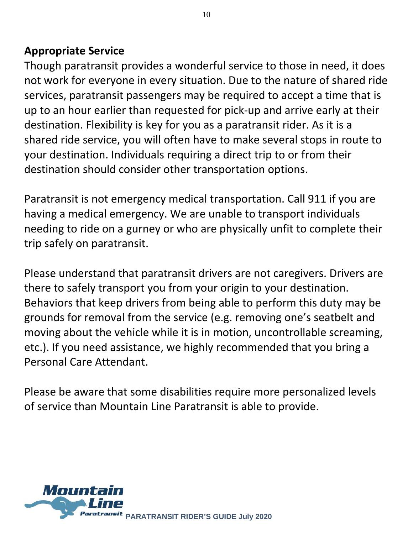#### **Appropriate Service**

Though paratransit provides a wonderful service to those in need, it does not work for everyone in every situation. Due to the nature of shared ride services, paratransit passengers may be required to accept a time that is up to an hour earlier than requested for pick-up and arrive early at their destination. Flexibility is key for you as a paratransit rider. As it is a shared ride service, you will often have to make several stops in route to your destination. Individuals requiring a direct trip to or from their destination should consider other transportation options.

Paratransit is not emergency medical transportation. Call 911 if you are having a medical emergency. We are unable to transport individuals needing to ride on a gurney or who are physically unfit to complete their trip safely on paratransit.

Please understand that paratransit drivers are not caregivers. Drivers are there to safely transport you from your origin to your destination. Behaviors that keep drivers from being able to perform this duty may be grounds for removal from the service (e.g. removing one's seatbelt and moving about the vehicle while it is in motion, uncontrollable screaming, etc.). If you need assistance, we highly recommended that you bring a Personal Care Attendant.

Please be aware that some disabilities require more personalized levels of service than Mountain Line Paratransit is able to provide.

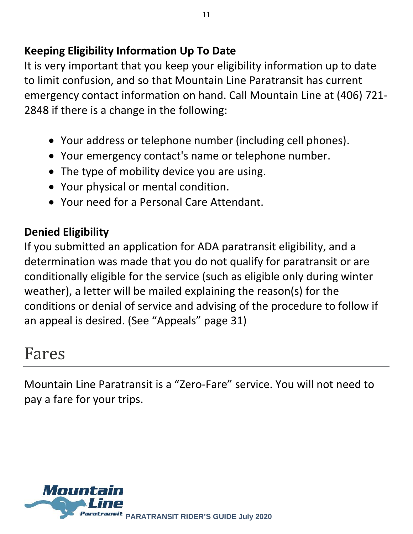#### **Keeping Eligibility Information Up To Date**

It is very important that you keep your eligibility information up to date to limit confusion, and so that Mountain Line Paratransit has current emergency contact information on hand. Call Mountain Line at (406) 721- 2848 if there is a change in the following:

- Your address or telephone number (including cell phones).
- Your emergency contact's name or telephone number.
- The type of mobility device you are using.
- Your physical or mental condition.
- Your need for a Personal Care Attendant.

#### **Denied Eligibility**

If you submitted an application for ADA paratransit eligibility, and a determination was made that you do not qualify for paratransit or are conditionally eligible for the service (such as eligible only during winter weather), a letter will be mailed explaining the reason(s) for the conditions or denial of service and advising of the procedure to follow if an appeal is desired. (See "Appeals" page 31)

### Fares

Mountain Line Paratransit is a "Zero-Fare" service. You will not need to pay a fare for your trips.

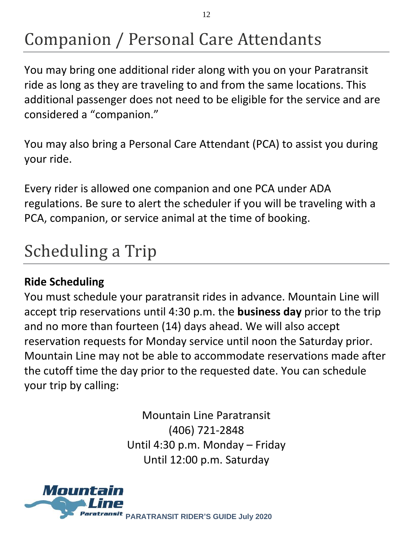# Companion / Personal Care Attendants

You may bring one additional rider along with you on your Paratransit ride as long as they are traveling to and from the same locations. This additional passenger does not need to be eligible for the service and are considered a "companion."

You may also bring a Personal Care Attendant (PCA) to assist you during your ride.

Every rider is allowed one companion and one PCA under ADA regulations. Be sure to alert the scheduler if you will be traveling with a PCA, companion, or service animal at the time of booking.

# Scheduling a Trip

#### **Ride Scheduling**

You must schedule your paratransit rides in advance. Mountain Line will accept trip reservations until 4:30 p.m. the **business day** prior to the trip and no more than fourteen (14) days ahead. We will also accept reservation requests for Monday service until noon the Saturday prior. Mountain Line may not be able to accommodate reservations made after the cutoff time the day prior to the requested date. You can schedule your trip by calling:

> Mountain Line Paratransit (406) 721-2848 Until 4:30 p.m. Monday – Friday Until 12:00 p.m. Saturday

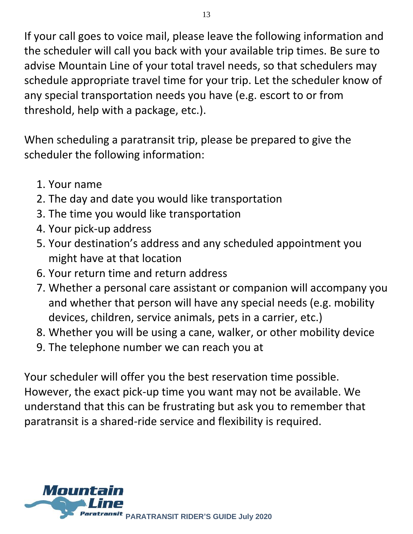If your call goes to voice mail, please leave the following information and the scheduler will call you back with your available trip times. Be sure to advise Mountain Line of your total travel needs, so that schedulers may schedule appropriate travel time for your trip. Let the scheduler know of any special transportation needs you have (e.g. escort to or from threshold, help with a package, etc.).

When scheduling a paratransit trip, please be prepared to give the scheduler the following information:

- 1. Your name
- 2. The day and date you would like transportation
- 3. The time you would like transportation
- 4. Your pick-up address
- 5. Your destination's address and any scheduled appointment you might have at that location
- 6. Your return time and return address
- 7. Whether a personal care assistant or companion will accompany you and whether that person will have any special needs (e.g. mobility devices, children, service animals, pets in a carrier, etc.)
- 8. Whether you will be using a cane, walker, or other mobility device
- 9. The telephone number we can reach you at

Your scheduler will offer you the best reservation time possible. However, the exact pick-up time you want may not be available. We understand that this can be frustrating but ask you to remember that paratransit is a shared-ride service and flexibility is required.

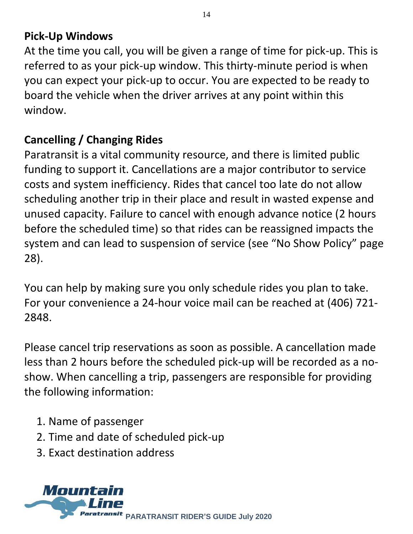#### **Pick-Up Windows**

At the time you call, you will be given a range of time for pick-up. This is referred to as your pick-up window. This thirty-minute period is when you can expect your pick-up to occur. You are expected to be ready to board the vehicle when the driver arrives at any point within this window.

#### **Cancelling / Changing Rides**

Paratransit is a vital community resource, and there is limited public funding to support it. Cancellations are a major contributor to service costs and system inefficiency. Rides that cancel too late do not allow scheduling another trip in their place and result in wasted expense and unused capacity. Failure to cancel with enough advance notice (2 hours before the scheduled time) so that rides can be reassigned impacts the system and can lead to suspension of service (see "No Show Policy" page 28).

You can help by making sure you only schedule rides you plan to take. For your convenience a 24-hour voice mail can be reached at (406) 721- 2848.

Please cancel trip reservations as soon as possible. A cancellation made less than 2 hours before the scheduled pick-up will be recorded as a noshow. When cancelling a trip, passengers are responsible for providing the following information:

- 1. Name of passenger
- 2. Time and date of scheduled pick-up
- 3. Exact destination address

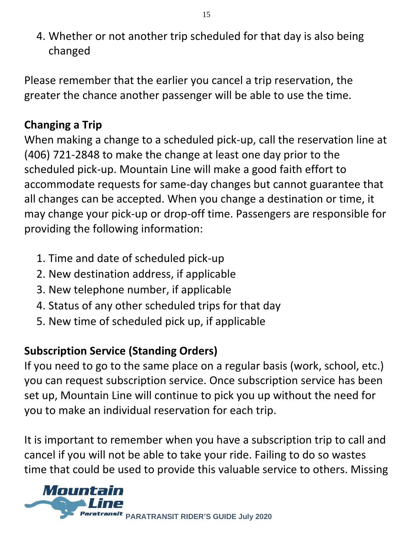4. Whether or not another trip scheduled for that day is also being changed

Please remember that the earlier you cancel a trip reservation, the greater the chance another passenger will be able to use the time.

#### **Changing a Trip**

When making a change to a scheduled pick-up, call the reservation line at (406) 721-2848 to make the change at least one day prior to the scheduled pick-up. Mountain Line will make a good faith effort to accommodate requests for same-day changes but cannot guarantee that all changes can be accepted. When you change a destination or time, it may change your pick-up or drop-off time. Passengers are responsible for providing the following information:

- 1. Time and date of scheduled pick-up
- 2. New destination address, if applicable
- 3. New telephone number, if applicable
- 4. Status of any other scheduled trips for that day
- 5. New time of scheduled pick up, if applicable

#### **Subscription Service (Standing Orders)**

If you need to go to the same place on a regular basis (work, school, etc.) you can request subscription service. Once subscription service has been set up, Mountain Line will continue to pick you up without the need for you to make an individual reservation for each trip.

It is important to remember when you have a subscription trip to call and cancel if you will not be able to take your ride. Failing to do so wastes time that could be used to provide this valuable service to others. Missing

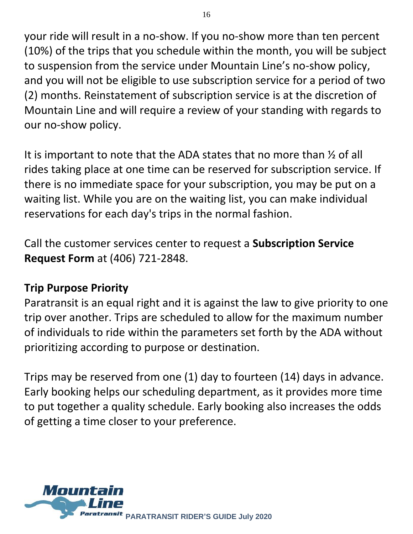your ride will result in a no-show. If you no-show more than ten percent (10%) of the trips that you schedule within the month, you will be subject to suspension from the service under Mountain Line's no-show policy, and you will not be eligible to use subscription service for a period of two (2) months. Reinstatement of subscription service is at the discretion of Mountain Line and will require a review of your standing with regards to our no-show policy.

It is important to note that the ADA states that no more than ½ of all rides taking place at one time can be reserved for subscription service. If there is no immediate space for your subscription, you may be put on a waiting list. While you are on the waiting list, you can make individual reservations for each day's trips in the normal fashion.

Call the customer services center to request a **Subscription Service Request Form** at (406) 721-2848.

#### **Trip Purpose Priority**

Paratransit is an equal right and it is against the law to give priority to one trip over another. Trips are scheduled to allow for the maximum number of individuals to ride within the parameters set forth by the ADA without prioritizing according to purpose or destination.

Trips may be reserved from one (1) day to fourteen (14) days in advance. Early booking helps our scheduling department, as it provides more time to put together a quality schedule. Early booking also increases the odds of getting a time closer to your preference.

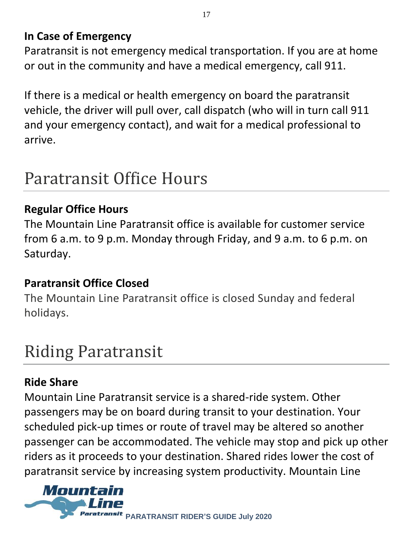#### **In Case of Emergency**

Paratransit is not emergency medical transportation. If you are at home or out in the community and have a medical emergency, call 911.

If there is a medical or health emergency on board the paratransit vehicle, the driver will pull over, call dispatch (who will in turn call 911 and your emergency contact), and wait for a medical professional to arrive.

### Paratransit Office Hours

#### **Regular Office Hours**

The Mountain Line Paratransit office is available for customer service from 6 a.m. to 9 p.m. Monday through Friday, and 9 a.m. to 6 p.m. on Saturday.

#### **Paratransit Office Closed**

The Mountain Line Paratransit office is closed Sunday and federal holidays.

## Riding Paratransit

#### **Ride Share**

Mountain Line Paratransit service is a shared-ride system. Other passengers may be on board during transit to your destination. Your scheduled pick-up times or route of travel may be altered so another passenger can be accommodated. The vehicle may stop and pick up other riders as it proceeds to your destination. Shared rides lower the cost of paratransit service by increasing system productivity. Mountain Line

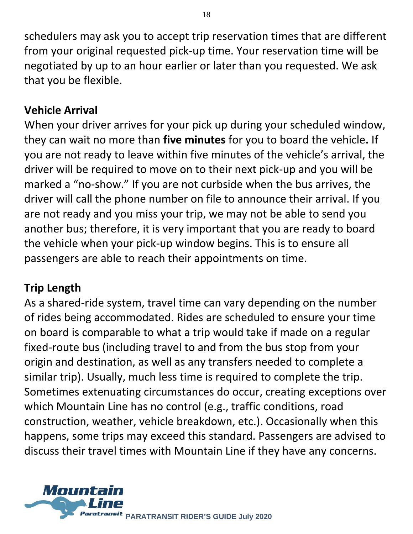schedulers may ask you to accept trip reservation times that are different from your original requested pick-up time. Your reservation time will be negotiated by up to an hour earlier or later than you requested. We ask that you be flexible.

#### **Vehicle Arrival**

When your driver arrives for your pick up during your scheduled window, they can wait no more than **five minutes** for you to board the vehicle**.** If you are not ready to leave within five minutes of the vehicle's arrival, the driver will be required to move on to their next pick-up and you will be marked a "no-show." If you are not curbside when the bus arrives, the driver will call the phone number on file to announce their arrival. If you are not ready and you miss your trip, we may not be able to send you another bus; therefore, it is very important that you are ready to board the vehicle when your pick-up window begins. This is to ensure all passengers are able to reach their appointments on time.

#### **Trip Length**

As a shared-ride system, travel time can vary depending on the number of rides being accommodated. Rides are scheduled to ensure your time on board is comparable to what a trip would take if made on a regular fixed-route bus (including travel to and from the bus stop from your origin and destination, as well as any transfers needed to complete a similar trip). Usually, much less time is required to complete the trip. Sometimes extenuating circumstances do occur, creating exceptions over which Mountain Line has no control (e.g., traffic conditions, road construction, weather, vehicle breakdown, etc.). Occasionally when this happens, some trips may exceed this standard. Passengers are advised to discuss their travel times with Mountain Line if they have any concerns.

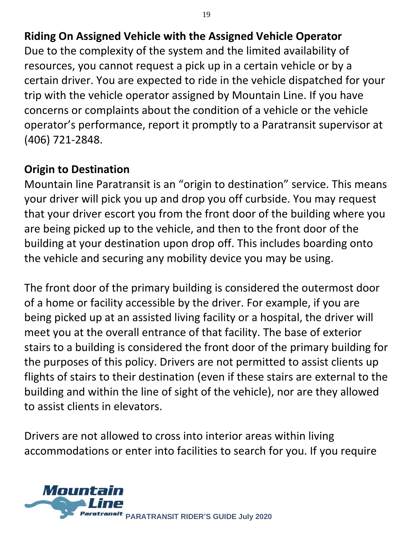#### **Riding On Assigned Vehicle with the Assigned Vehicle Operator**

Due to the complexity of the system and the limited availability of resources, you cannot request a pick up in a certain vehicle or by a certain driver. You are expected to ride in the vehicle dispatched for your trip with the vehicle operator assigned by Mountain Line. If you have concerns or complaints about the condition of a vehicle or the vehicle operator's performance, report it promptly to a Paratransit supervisor at (406) 721-2848.

#### **Origin to Destination**

Mountain line Paratransit is an "origin to destination" service. This means your driver will pick you up and drop you off curbside. You may request that your driver escort you from the front door of the building where you are being picked up to the vehicle, and then to the front door of the building at your destination upon drop off. This includes boarding onto the vehicle and securing any mobility device you may be using.

The front door of the primary building is considered the outermost door of a home or facility accessible by the driver. For example, if you are being picked up at an assisted living facility or a hospital, the driver will meet you at the overall entrance of that facility. The base of exterior stairs to a building is considered the front door of the primary building for the purposes of this policy. Drivers are not permitted to assist clients up flights of stairs to their destination (even if these stairs are external to the building and within the line of sight of the vehicle), nor are they allowed to assist clients in elevators.

Drivers are not allowed to cross into interior areas within living accommodations or enter into facilities to search for you. If you require



19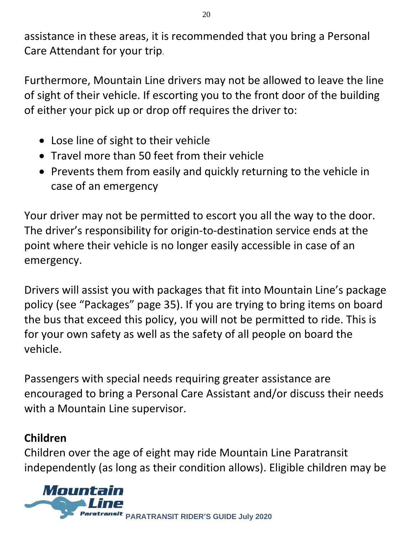assistance in these areas, it is recommended that you bring a Personal Care Attendant for your trip.

Furthermore, Mountain Line drivers may not be allowed to leave the line of sight of their vehicle. If escorting you to the front door of the building of either your pick up or drop off requires the driver to:

- Lose line of sight to their vehicle
- Travel more than 50 feet from their vehicle
- Prevents them from easily and quickly returning to the vehicle in case of an emergency

Your driver may not be permitted to escort you all the way to the door. The driver's responsibility for origin-to-destination service ends at the point where their vehicle is no longer easily accessible in case of an emergency.

Drivers will assist you with packages that fit into Mountain Line's package policy (see "Packages" page 35). If you are trying to bring items on board the bus that exceed this policy, you will not be permitted to ride. This is for your own safety as well as the safety of all people on board the vehicle.

Passengers with special needs requiring greater assistance are encouraged to bring a Personal Care Assistant and/or discuss their needs with a Mountain Line supervisor.

#### **Children**

Children over the age of eight may ride Mountain Line Paratransit independently (as long as their condition allows). Eligible children may be

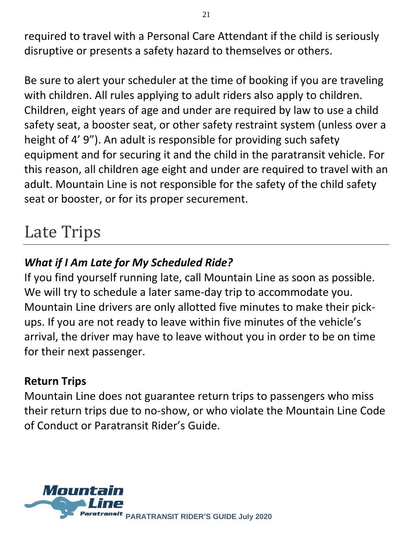required to travel with a Personal Care Attendant if the child is seriously disruptive or presents a safety hazard to themselves or others.

Be sure to alert your scheduler at the time of booking if you are traveling with children. All rules applying to adult riders also apply to children. Children, eight years of age and under are required by law to use a child safety seat, a booster seat, or other safety restraint system (unless over a height of 4' 9"). An adult is responsible for providing such safety equipment and for securing it and the child in the paratransit vehicle. For this reason, all children age eight and under are required to travel with an adult. Mountain Line is not responsible for the safety of the child safety seat or booster, or for its proper securement.

### Late Trips

#### *What if I Am Late for My Scheduled Ride?*

If you find yourself running late, call Mountain Line as soon as possible. We will try to schedule a later same-day trip to accommodate you. Mountain Line drivers are only allotted five minutes to make their pickups. If you are not ready to leave within five minutes of the vehicle's arrival, the driver may have to leave without you in order to be on time for their next passenger.

#### **Return Trips**

Mountain Line does not guarantee return trips to passengers who miss their return trips due to no-show, or who violate the Mountain Line Code of Conduct or Paratransit Rider's Guide.

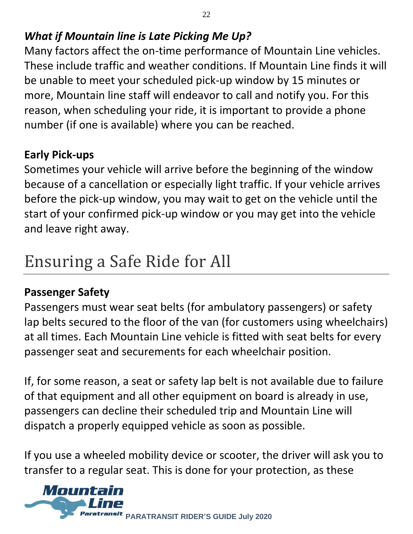#### *What if Mountain line is Late Picking Me Up?*

Many factors affect the on-time performance of Mountain Line vehicles. These include traffic and weather conditions. If Mountain Line finds it will be unable to meet your scheduled pick-up window by 15 minutes or more, Mountain line staff will endeavor to call and notify you. For this reason, when scheduling your ride, it is important to provide a phone number (if one is available) where you can be reached.

#### **Early Pick-ups**

Sometimes your vehicle will arrive before the beginning of the window because of a cancellation or especially light traffic. If your vehicle arrives before the pick-up window, you may wait to get on the vehicle until the start of your confirmed pick-up window or you may get into the vehicle and leave right away.

### Ensuring a Safe Ride for All

#### **Passenger Safety**

Passengers must wear seat belts (for ambulatory passengers) or safety lap belts secured to the floor of the van (for customers using wheelchairs) at all times. Each Mountain Line vehicle is fitted with seat belts for every passenger seat and securements for each wheelchair position.

If, for some reason, a seat or safety lap belt is not available due to failure of that equipment and all other equipment on board is already in use, passengers can decline their scheduled trip and Mountain Line will dispatch a properly equipped vehicle as soon as possible.

If you use a wheeled mobility device or scooter, the driver will ask you to transfer to a regular seat. This is done for your protection, as these

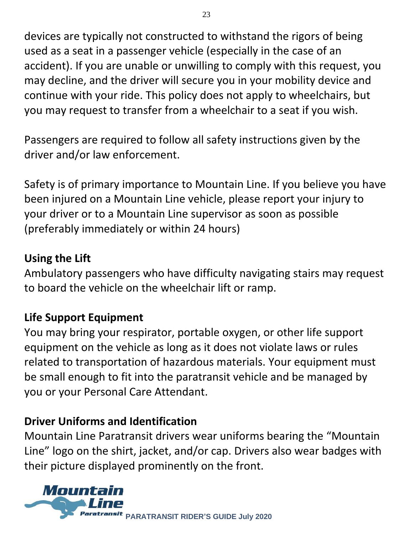devices are typically not constructed to withstand the rigors of being used as a seat in a passenger vehicle (especially in the case of an accident). If you are unable or unwilling to comply with this request, you may decline, and the driver will secure you in your mobility device and continue with your ride. This policy does not apply to wheelchairs, but you may request to transfer from a wheelchair to a seat if you wish.

Passengers are required to follow all safety instructions given by the driver and/or law enforcement.

Safety is of primary importance to Mountain Line. If you believe you have been injured on a Mountain Line vehicle, please report your injury to your driver or to a Mountain Line supervisor as soon as possible (preferably immediately or within 24 hours)

#### **Using the Lift**

Ambulatory passengers who have difficulty navigating stairs may request to board the vehicle on the wheelchair lift or ramp.

#### **Life Support Equipment**

You may bring your respirator, portable oxygen, or other life support equipment on the vehicle as long as it does not violate laws or rules related to transportation of hazardous materials. Your equipment must be small enough to fit into the paratransit vehicle and be managed by you or your Personal Care Attendant.

#### **Driver Uniforms and Identification**

Mountain Line Paratransit drivers wear uniforms bearing the "Mountain Line" logo on the shirt, jacket, and/or cap. Drivers also wear badges with their picture displayed prominently on the front.

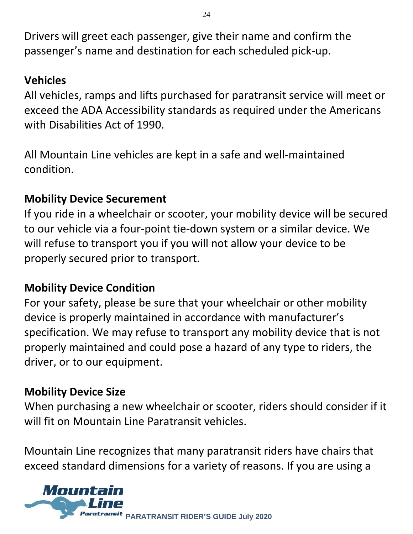Drivers will greet each passenger, give their name and confirm the passenger's name and destination for each scheduled pick-up.

#### **Vehicles**

All vehicles, ramps and lifts purchased for paratransit service will meet or exceed the ADA Accessibility standards as required under the Americans with Disabilities Act of 1990.

All Mountain Line vehicles are kept in a safe and well-maintained condition.

#### **Mobility Device Securement**

If you ride in a wheelchair or scooter, your mobility device will be secured to our vehicle via a four-point tie-down system or a similar device. We will refuse to transport you if you will not allow your device to be properly secured prior to transport.

#### **Mobility Device Condition**

For your safety, please be sure that your wheelchair or other mobility device is properly maintained in accordance with manufacturer's specification. We may refuse to transport any mobility device that is not properly maintained and could pose a hazard of any type to riders, the driver, or to our equipment.

#### **Mobility Device Size**

When purchasing a new wheelchair or scooter, riders should consider if it will fit on Mountain Line Paratransit vehicles.

Mountain Line recognizes that many paratransit riders have chairs that exceed standard dimensions for a variety of reasons. If you are using a

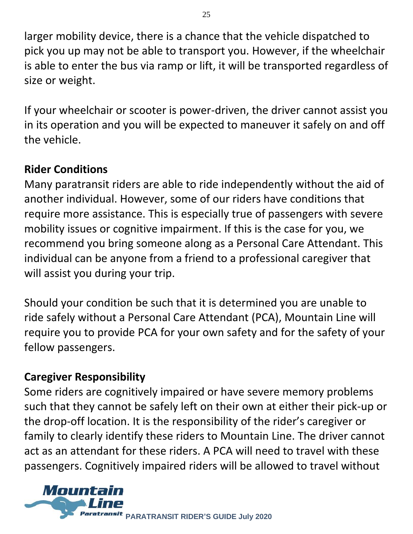larger mobility device, there is a chance that the vehicle dispatched to pick you up may not be able to transport you. However, if the wheelchair is able to enter the bus via ramp or lift, it will be transported regardless of size or weight.

If your wheelchair or scooter is power-driven, the driver cannot assist you in its operation and you will be expected to maneuver it safely on and off the vehicle.

#### **Rider Conditions**

Many paratransit riders are able to ride independently without the aid of another individual. However, some of our riders have conditions that require more assistance. This is especially true of passengers with severe mobility issues or cognitive impairment. If this is the case for you, we recommend you bring someone along as a Personal Care Attendant. This individual can be anyone from a friend to a professional caregiver that will assist you during your trip.

Should your condition be such that it is determined you are unable to ride safely without a Personal Care Attendant (PCA), Mountain Line will require you to provide PCA for your own safety and for the safety of your fellow passengers.

#### **Caregiver Responsibility**

Some riders are cognitively impaired or have severe memory problems such that they cannot be safely left on their own at either their pick-up or the drop-off location. It is the responsibility of the rider's caregiver or family to clearly identify these riders to Mountain Line. The driver cannot act as an attendant for these riders. A PCA will need to travel with these passengers. Cognitively impaired riders will be allowed to travel without

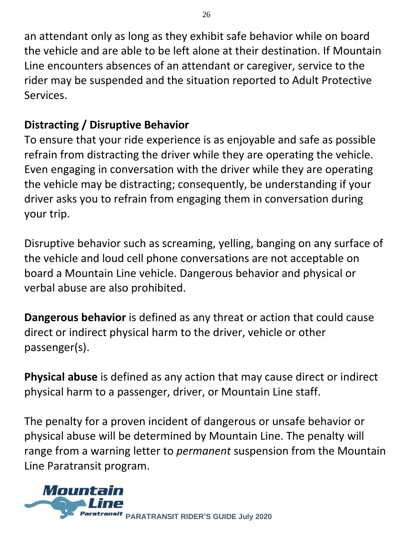an attendant only as long as they exhibit safe behavior while on board the vehicle and are able to be left alone at their destination. If Mountain Line encounters absences of an attendant or caregiver, service to the rider may be suspended and the situation reported to Adult Protective Services.

#### **Distracting / Disruptive Behavior**

To ensure that your ride experience is as enjoyable and safe as possible refrain from distracting the driver while they are operating the vehicle. Even engaging in conversation with the driver while they are operating the vehicle may be distracting; consequently, be understanding if your driver asks you to refrain from engaging them in conversation during your trip.

Disruptive behavior such as screaming, yelling, banging on any surface of the vehicle and loud cell phone conversations are not acceptable on board a Mountain Line vehicle. Dangerous behavior and physical or verbal abuse are also prohibited.

**Dangerous behavior** is defined as any threat or action that could cause direct or indirect physical harm to the driver, vehicle or other passenger(s).

**Physical abuse** is defined as any action that may cause direct or indirect physical harm to a passenger, driver, or Mountain Line staff.

The penalty for a proven incident of dangerous or unsafe behavior or physical abuse will be determined by Mountain Line. The penalty will range from a warning letter to *permanent* suspension from the Mountain Line Paratransit program.

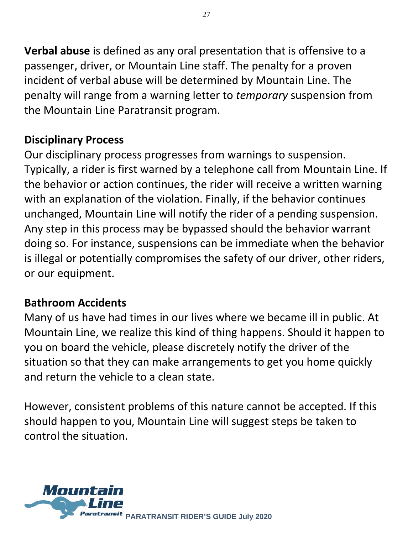**Verbal abuse** is defined as any oral presentation that is offensive to a passenger, driver, or Mountain Line staff. The penalty for a proven incident of verbal abuse will be determined by Mountain Line. The penalty will range from a warning letter to *temporary* suspension from the Mountain Line Paratransit program.

#### **Disciplinary Process**

Our disciplinary process progresses from warnings to suspension. Typically, a rider is first warned by a telephone call from Mountain Line. If the behavior or action continues, the rider will receive a written warning with an explanation of the violation. Finally, if the behavior continues unchanged, Mountain Line will notify the rider of a pending suspension. Any step in this process may be bypassed should the behavior warrant doing so. For instance, suspensions can be immediate when the behavior is illegal or potentially compromises the safety of our driver, other riders, or our equipment.

#### **Bathroom Accidents**

Many of us have had times in our lives where we became ill in public. At Mountain Line, we realize this kind of thing happens. Should it happen to you on board the vehicle, please discretely notify the driver of the situation so that they can make arrangements to get you home quickly and return the vehicle to a clean state.

However, consistent problems of this nature cannot be accepted. If this should happen to you, Mountain Line will suggest steps be taken to control the situation.

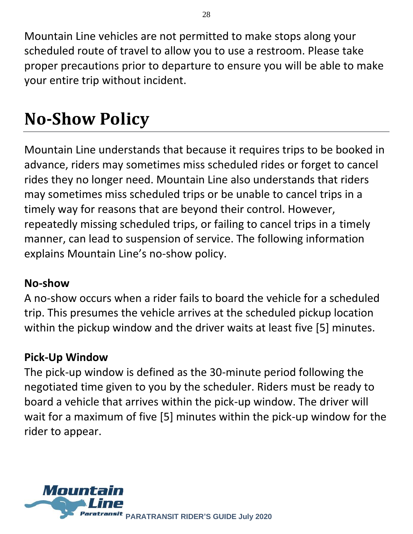Mountain Line vehicles are not permitted to make stops along your scheduled route of travel to allow you to use a restroom. Please take proper precautions prior to departure to ensure you will be able to make your entire trip without incident.

## **No-Show Policy**

Mountain Line understands that because it requires trips to be booked in advance, riders may sometimes miss scheduled rides or forget to cancel rides they no longer need. Mountain Line also understands that riders may sometimes miss scheduled trips or be unable to cancel trips in a timely way for reasons that are beyond their control. However, repeatedly missing scheduled trips, or failing to cancel trips in a timely manner, can lead to suspension of service. The following information explains Mountain Line's no-show policy.

#### **No-show**

A no-show occurs when a rider fails to board the vehicle for a scheduled trip. This presumes the vehicle arrives at the scheduled pickup location within the pickup window and the driver waits at least five [5] minutes.

#### **Pick-Up Window**

The pick-up window is defined as the 30-minute period following the negotiated time given to you by the scheduler. Riders must be ready to board a vehicle that arrives within the pick-up window. The driver will wait for a maximum of five [5] minutes within the pick-up window for the rider to appear.

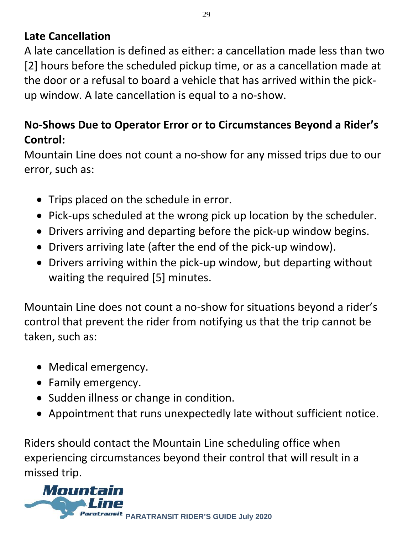#### **Late Cancellation**

A late cancellation is defined as either: a cancellation made less than two [2] hours before the scheduled pickup time, or as a cancellation made at the door or a refusal to board a vehicle that has arrived within the pickup window. A late cancellation is equal to a no-show.

#### **No-Shows Due to Operator Error or to Circumstances Beyond a Rider's Control:**

Mountain Line does not count a no-show for any missed trips due to our error, such as:

- Trips placed on the schedule in error.
- Pick-ups scheduled at the wrong pick up location by the scheduler.
- Drivers arriving and departing before the pick-up window begins.
- Drivers arriving late (after the end of the pick-up window).
- Drivers arriving within the pick-up window, but departing without waiting the required [5] minutes.

Mountain Line does not count a no-show for situations beyond a rider's control that prevent the rider from notifying us that the trip cannot be taken, such as:

- Medical emergency.
- Family emergency.
- Sudden illness or change in condition.
- Appointment that runs unexpectedly late without sufficient notice.

Riders should contact the Mountain Line scheduling office when experiencing circumstances beyond their control that will result in a missed trip.

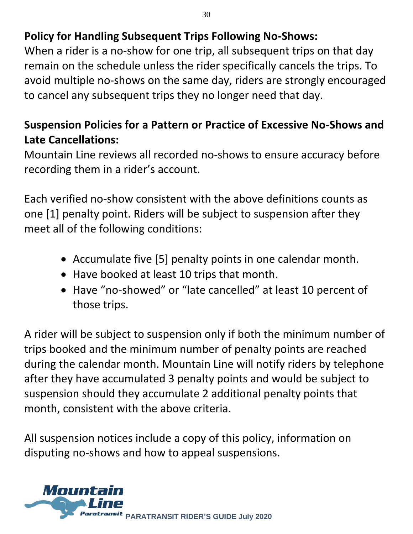#### **Policy for Handling Subsequent Trips Following No-Shows:**

When a rider is a no-show for one trip, all subsequent trips on that day remain on the schedule unless the rider specifically cancels the trips. To avoid multiple no-shows on the same day, riders are strongly encouraged to cancel any subsequent trips they no longer need that day.

#### **Suspension Policies for a Pattern or Practice of Excessive No-Shows and Late Cancellations:**

Mountain Line reviews all recorded no-shows to ensure accuracy before recording them in a rider's account.

Each verified no-show consistent with the above definitions counts as one [1] penalty point. Riders will be subject to suspension after they meet all of the following conditions:

- Accumulate five [5] penalty points in one calendar month.
- Have booked at least 10 trips that month.
- Have "no-showed" or "late cancelled" at least 10 percent of those trips.

A rider will be subject to suspension only if both the minimum number of trips booked and the minimum number of penalty points are reached during the calendar month. Mountain Line will notify riders by telephone after they have accumulated 3 penalty points and would be subject to suspension should they accumulate 2 additional penalty points that month, consistent with the above criteria.

All suspension notices include a copy of this policy, information on disputing no-shows and how to appeal suspensions.

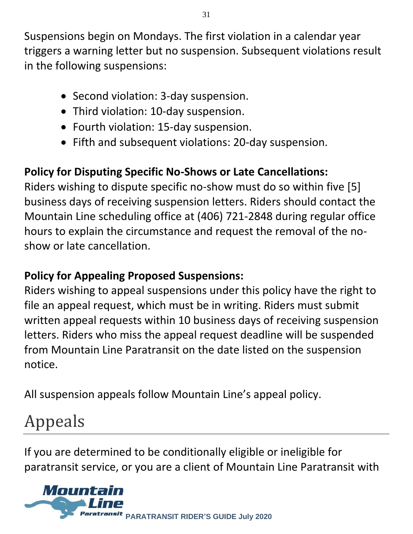Suspensions begin on Mondays. The first violation in a calendar year triggers a warning letter but no suspension. Subsequent violations result in the following suspensions:

- Second violation: 3-day suspension.
- Third violation: 10-day suspension.
- Fourth violation: 15-day suspension.
- Fifth and subsequent violations: 20-day suspension.

#### **Policy for Disputing Specific No-Shows or Late Cancellations:**

Riders wishing to dispute specific no-show must do so within five [5] business days of receiving suspension letters. Riders should contact the Mountain Line scheduling office at (406) 721-2848 during regular office hours to explain the circumstance and request the removal of the noshow or late cancellation.

#### **Policy for Appealing Proposed Suspensions:**

Riders wishing to appeal suspensions under this policy have the right to file an appeal request, which must be in writing. Riders must submit written appeal requests within 10 business days of receiving suspension letters. Riders who miss the appeal request deadline will be suspended from Mountain Line Paratransit on the date listed on the suspension notice.

All suspension appeals follow Mountain Line's appeal policy.

# Appeals

If you are determined to be conditionally eligible or ineligible for paratransit service, or you are a client of Mountain Line Paratransit with

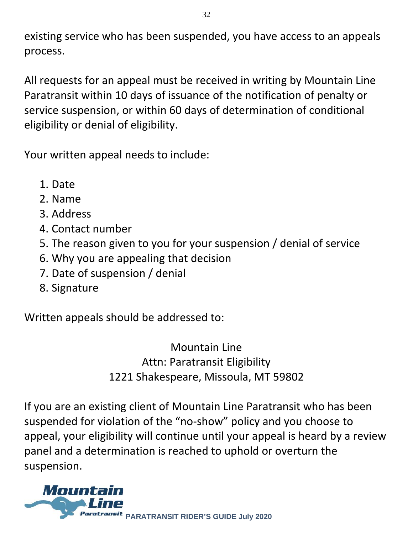existing service who has been suspended, you have access to an appeals process.

All requests for an appeal must be received in writing by Mountain Line Paratransit within 10 days of issuance of the notification of penalty or service suspension, or within 60 days of determination of conditional eligibility or denial of eligibility.

Your written appeal needs to include:

- 1. Date
- 2. Name
- 3. Address
- 4. Contact number
- 5. The reason given to you for your suspension / denial of service
- 6. Why you are appealing that decision
- 7. Date of suspension / denial
- 8. Signature

Written appeals should be addressed to:

Mountain Line Attn: Paratransit Eligibility 1221 Shakespeare, Missoula, MT 59802

If you are an existing client of Mountain Line Paratransit who has been suspended for violation of the "no-show" policy and you choose to appeal, your eligibility will continue until your appeal is heard by a review panel and a determination is reached to uphold or overturn the suspension.

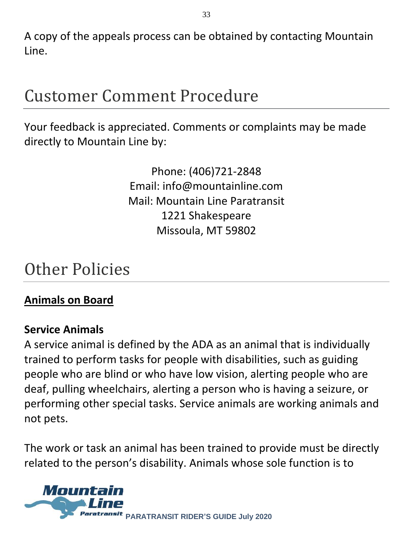A copy of the appeals process can be obtained by contacting Mountain Line.

### Customer Comment Procedure

Your feedback is appreciated. Comments or complaints may be made directly to Mountain Line by:

> Phone: (406)721-2848 Email: info@mountainline.com Mail: Mountain Line Paratransit 1221 Shakespeare Missoula, MT 59802

### Other Policies

#### **Animals on Board**

#### **Service Animals**

A service animal is defined by the ADA as an animal that is individually trained to perform tasks for people with disabilities, such as guiding people who are blind or who have low vision, alerting people who are deaf, pulling wheelchairs, alerting a person who is having a seizure, or performing other special tasks. Service animals are working animals and not pets.

The work or task an animal has been trained to provide must be directly related to the person's disability. Animals whose sole function is to

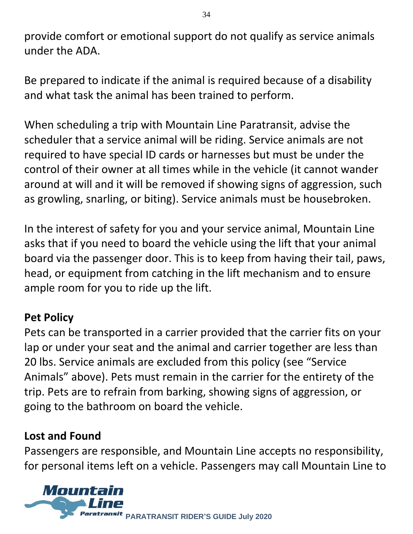provide comfort or emotional support do not qualify as service animals under the ADA.

Be prepared to indicate if the animal is required because of a disability and what task the animal has been trained to perform.

When scheduling a trip with Mountain Line Paratransit, advise the scheduler that a service animal will be riding. Service animals are not required to have special ID cards or harnesses but must be under the control of their owner at all times while in the vehicle (it cannot wander around at will and it will be removed if showing signs of aggression, such as growling, snarling, or biting). Service animals must be housebroken.

In the interest of safety for you and your service animal, Mountain Line asks that if you need to board the vehicle using the lift that your animal board via the passenger door. This is to keep from having their tail, paws, head, or equipment from catching in the lift mechanism and to ensure ample room for you to ride up the lift.

#### **Pet Policy**

Pets can be transported in a carrier provided that the carrier fits on your lap or under your seat and the animal and carrier together are less than 20 lbs. Service animals are excluded from this policy (see "Service Animals" above). Pets must remain in the carrier for the entirety of the trip. Pets are to refrain from barking, showing signs of aggression, or going to the bathroom on board the vehicle.

#### **Lost and Found**

Passengers are responsible, and Mountain Line accepts no responsibility, for personal items left on a vehicle. Passengers may call Mountain Line to

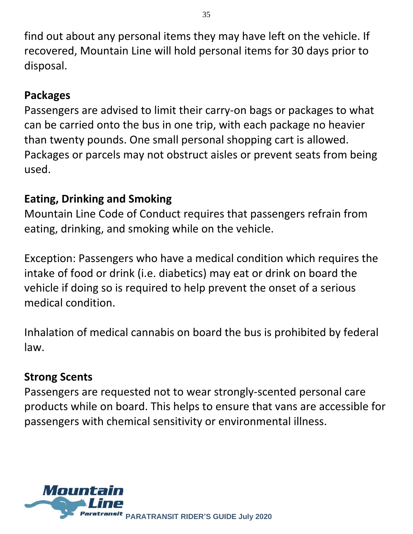find out about any personal items they may have left on the vehicle. If recovered, Mountain Line will hold personal items for 30 days prior to disposal.

#### **Packages**

Passengers are advised to limit their carry-on bags or packages to what can be carried onto the bus in one trip, with each package no heavier than twenty pounds. One small personal shopping cart is allowed. Packages or parcels may not obstruct aisles or prevent seats from being used.

#### **Eating, Drinking and Smoking**

Mountain Line Code of Conduct requires that passengers refrain from eating, drinking, and smoking while on the vehicle.

Exception: Passengers who have a medical condition which requires the intake of food or drink (i.e. diabetics) may eat or drink on board the vehicle if doing so is required to help prevent the onset of a serious medical condition.

Inhalation of medical cannabis on board the bus is prohibited by federal law.

#### **Strong Scents**

Passengers are requested not to wear strongly-scented personal care products while on board. This helps to ensure that vans are accessible for passengers with chemical sensitivity or environmental illness.

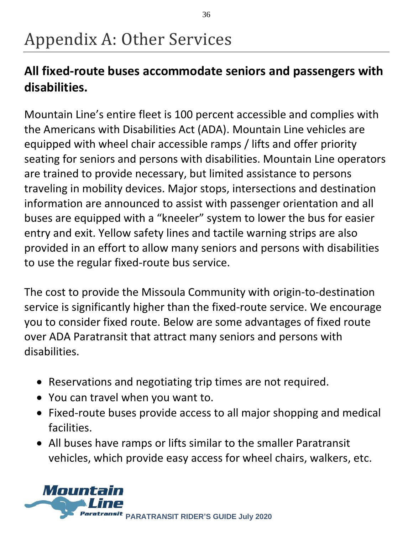# Appendix A: Other Services

#### **All fixed-route buses accommodate seniors and passengers with disabilities.**

Mountain Line's entire fleet is 100 percent accessible and complies with the Americans with Disabilities Act (ADA). Mountain Line vehicles are equipped with wheel chair accessible ramps / lifts and offer priority seating for seniors and persons with disabilities. Mountain Line operators are trained to provide necessary, but limited assistance to persons traveling in mobility devices. Major stops, intersections and destination information are announced to assist with passenger orientation and all buses are equipped with a "kneeler" system to lower the bus for easier entry and exit. Yellow safety lines and tactile warning strips are also provided in an effort to allow many seniors and persons with disabilities to use the regular fixed-route bus service.

The cost to provide the Missoula Community with origin-to-destination service is significantly higher than the fixed-route service. We encourage you to consider fixed route. Below are some advantages of fixed route over ADA Paratransit that attract many seniors and persons with disabilities.

- Reservations and negotiating trip times are not required.
- You can travel when you want to.
- Fixed-route buses provide access to all major shopping and medical facilities.
- All buses have ramps or lifts similar to the smaller Paratransit vehicles, which provide easy access for wheel chairs, walkers, etc.

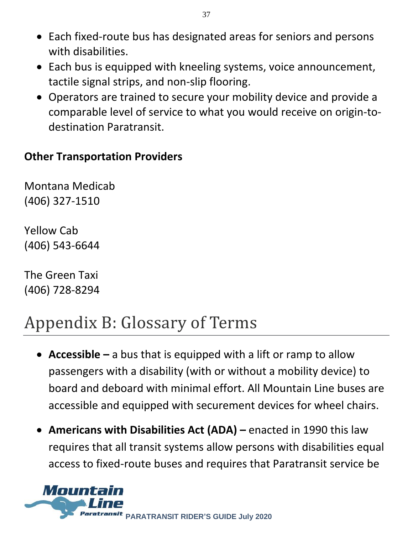- Each fixed-route bus has designated areas for seniors and persons with disabilities.
- Each bus is equipped with kneeling systems, voice announcement, tactile signal strips, and non-slip flooring.
- Operators are trained to secure your mobility device and provide a comparable level of service to what you would receive on origin-todestination Paratransit.

#### **Other Transportation Providers**

Montana Medicab (406) 327-1510

Yellow Cab (406) 543-6644

The Green Taxi (406) 728-8294

# Appendix B: Glossary of Terms

- **Accessible –** a bus that is equipped with a lift or ramp to allow passengers with a disability (with or without a mobility device) to board and deboard with minimal effort. All Mountain Line buses are accessible and equipped with securement devices for wheel chairs.
- **Americans with Disabilities Act (ADA) –** enacted in 1990 this law requires that all transit systems allow persons with disabilities equal access to fixed-route buses and requires that Paratransit service be

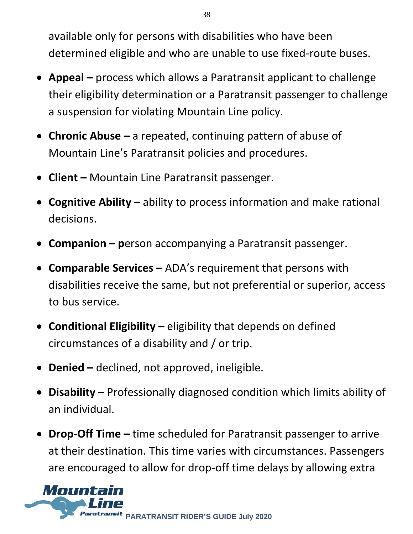available only for persons with disabilities who have been determined eligible and who are unable to use fixed-route buses.

- **Appeal –** process which allows a Paratransit applicant to challenge their eligibility determination or a Paratransit passenger to challenge a suspension for violating Mountain Line policy.
- **Chronic Abuse –** a repeated, continuing pattern of abuse of Mountain Line's Paratransit policies and procedures.
- **Client –** Mountain Line Paratransit passenger.
- **Cognitive Ability –** ability to process information and make rational decisions.
- **Companion – p**erson accompanying a Paratransit passenger.
- **Comparable Services –** ADA's requirement that persons with disabilities receive the same, but not preferential or superior, access to bus service.
- **Conditional Eligibility –** eligibility that depends on defined circumstances of a disability and / or trip.
- **Denied –** declined, not approved, ineligible.
- **Disability –** Professionally diagnosed condition which limits ability of an individual.
- **Drop-Off Time –** time scheduled for Paratransit passenger to arrive at their destination. This time varies with circumstances. Passengers are encouraged to allow for drop-off time delays by allowing extra

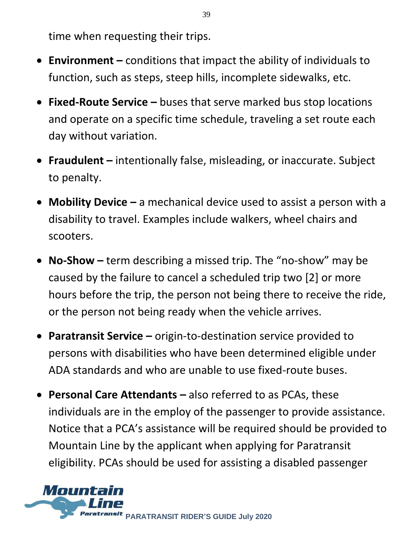time when requesting their trips.

- **Environment –** conditions that impact the ability of individuals to function, such as steps, steep hills, incomplete sidewalks, etc.
- **Fixed-Route Service –** buses that serve marked bus stop locations and operate on a specific time schedule, traveling a set route each day without variation.
- **Fraudulent –** intentionally false, misleading, or inaccurate. Subject to penalty.
- **Mobility Device –** a mechanical device used to assist a person with a disability to travel. Examples include walkers, wheel chairs and scooters.
- **No-Show –** term describing a missed trip. The "no-show" may be caused by the failure to cancel a scheduled trip two [2] or more hours before the trip, the person not being there to receive the ride, or the person not being ready when the vehicle arrives.
- **Paratransit Service –** origin-to-destination service provided to persons with disabilities who have been determined eligible under ADA standards and who are unable to use fixed-route buses.
- **Personal Care Attendants –** also referred to as PCAs, these individuals are in the employ of the passenger to provide assistance. Notice that a PCA's assistance will be required should be provided to Mountain Line by the applicant when applying for Paratransit eligibility. PCAs should be used for assisting a disabled passenger



39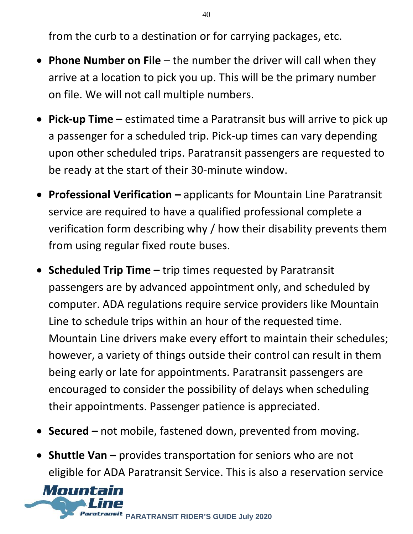from the curb to a destination or for carrying packages, etc.

- **Phone Number on File**  the number the driver will call when they arrive at a location to pick you up. This will be the primary number on file. We will not call multiple numbers.
- **Pick-up Time –** estimated time a Paratransit bus will arrive to pick up a passenger for a scheduled trip. Pick-up times can vary depending upon other scheduled trips. Paratransit passengers are requested to be ready at the start of their 30-minute window.
- **Professional Verification –** applicants for Mountain Line Paratransit service are required to have a qualified professional complete a verification form describing why / how their disability prevents them from using regular fixed route buses.
- **Scheduled Trip Time –** trip times requested by Paratransit passengers are by advanced appointment only, and scheduled by computer. ADA regulations require service providers like Mountain Line to schedule trips within an hour of the requested time. Mountain Line drivers make every effort to maintain their schedules; however, a variety of things outside their control can result in them being early or late for appointments. Paratransit passengers are encouraged to consider the possibility of delays when scheduling their appointments. Passenger patience is appreciated.
- **Secured** not mobile, fastened down, prevented from moving.
- **Shuttle Van** provides transportation for seniors who are not eligible for ADA Paratransit Service. This is also a reservation service

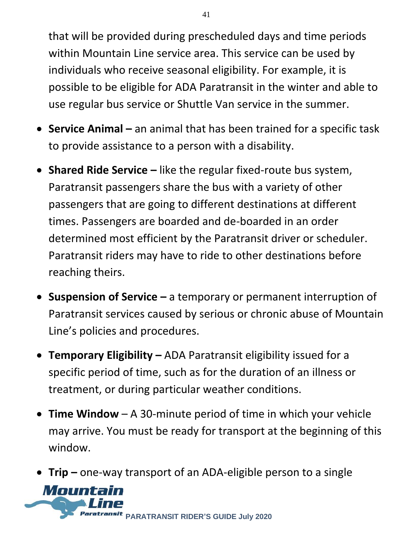that will be provided during prescheduled days and time periods within Mountain Line service area. This service can be used by individuals who receive seasonal eligibility. For example, it is possible to be eligible for ADA Paratransit in the winter and able to use regular bus service or Shuttle Van service in the summer.

- **Service Animal –** an animal that has been trained for a specific task to provide assistance to a person with a disability.
- **Shared Ride Service –** like the regular fixed-route bus system, Paratransit passengers share the bus with a variety of other passengers that are going to different destinations at different times. Passengers are boarded and de-boarded in an order determined most efficient by the Paratransit driver or scheduler. Paratransit riders may have to ride to other destinations before reaching theirs.
- **Suspension of Service –** a temporary or permanent interruption of Paratransit services caused by serious or chronic abuse of Mountain Line's policies and procedures.
- **Temporary Eligibility –** ADA Paratransit eligibility issued for a specific period of time, such as for the duration of an illness or treatment, or during particular weather conditions.
- **Time Window**  A 30-minute period of time in which your vehicle may arrive. You must be ready for transport at the beginning of this window.
- **Trip –** one-way transport of an ADA-eligible person to a single

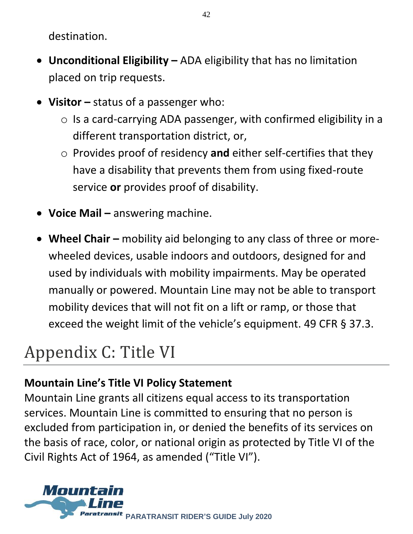destination.

- **Unconditional Eligibility –** ADA eligibility that has no limitation placed on trip requests.
- **Visitor –** status of a passenger who:
	- $\circ$  Is a card-carrying ADA passenger, with confirmed eligibility in a different transportation district, or,
	- o Provides proof of residency **and** either self-certifies that they have a disability that prevents them from using fixed-route service **or** provides proof of disability.
- **Voice Mail –** answering machine.
- Wheel Chair mobility aid belonging to any class of three or morewheeled devices, usable indoors and outdoors, designed for and used by individuals with mobility impairments. May be operated manually or powered. Mountain Line may not be able to transport mobility devices that will not fit on a lift or ramp, or those that exceed the weight limit of the vehicle's equipment. 49 CFR § 37.3.

# Appendix C: Title VI

#### **Mountain Line's Title VI Policy Statement**

Mountain Line grants all citizens equal access to its transportation services. Mountain Line is committed to ensuring that no person is excluded from participation in, or denied the benefits of its services on the basis of race, color, or national origin as protected by Title VI of the Civil Rights Act of 1964, as amended ("Title VI").

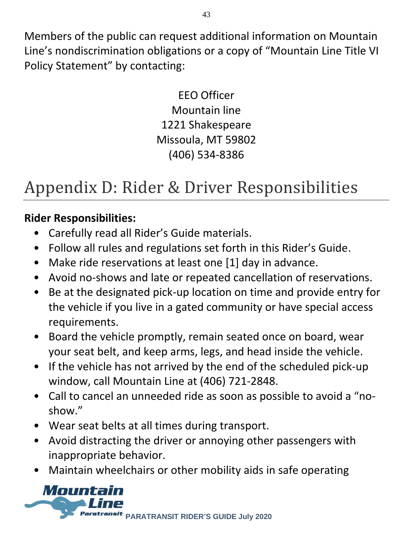Members of the public can request additional information on Mountain Line's nondiscrimination obligations or a copy of "Mountain Line Title VI Policy Statement" by contacting:

> EEO Officer Mountain line 1221 Shakespeare Missoula, MT 59802 (406) 534-8386

# Appendix D: Rider & Driver Responsibilities

#### **Rider Responsibilities:**

- Carefully read all Rider's Guide materials.
- Follow all rules and regulations set forth in this Rider's Guide.
- Make ride reservations at least one [1] day in advance.
- Avoid no-shows and late or repeated cancellation of reservations.
- Be at the designated pick-up location on time and provide entry for the vehicle if you live in a gated community or have special access requirements.
- Board the vehicle promptly, remain seated once on board, wear your seat belt, and keep arms, legs, and head inside the vehicle.
- If the vehicle has not arrived by the end of the scheduled pick-up window, call Mountain Line at (406) 721-2848.
- Call to cancel an unneeded ride as soon as possible to avoid a "noshow."
- Wear seat belts at all times during transport.
- Avoid distracting the driver or annoying other passengers with inappropriate behavior.
- Maintain wheelchairs or other mobility aids in safe operating

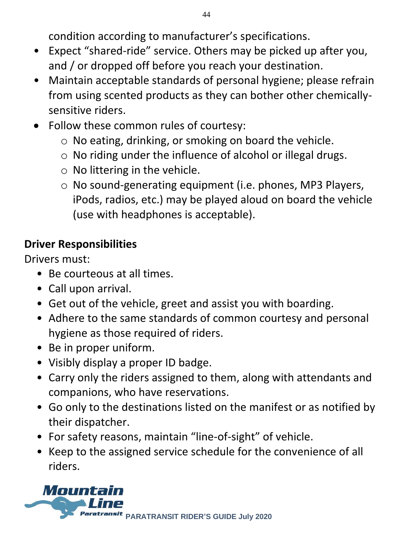condition according to manufacturer's specifications.

- Expect "shared-ride" service. Others may be picked up after you, and / or dropped off before you reach your destination.
- Maintain acceptable standards of personal hygiene; please refrain from using scented products as they can bother other chemicallysensitive riders.
- Follow these common rules of courtesy:
	- o No eating, drinking, or smoking on board the vehicle.
	- o No riding under the influence of alcohol or illegal drugs.
	- $\circ$  No littering in the vehicle.
	- o No sound-generating equipment (i.e. phones, MP3 Players, iPods, radios, etc.) may be played aloud on board the vehicle (use with headphones is acceptable).

#### **Driver Responsibilities**

Drivers must:

- Be courteous at all times.
- Call upon arrival.
- Get out of the vehicle, greet and assist you with boarding.
- Adhere to the same standards of common courtesy and personal hygiene as those required of riders.
- Be in proper uniform.
- Visibly display a proper ID badge.
- Carry only the riders assigned to them, along with attendants and companions, who have reservations.
- Go only to the destinations listed on the manifest or as notified by their dispatcher.
- For safety reasons, maintain "line-of-sight" of vehicle.
- Keep to the assigned service schedule for the convenience of all riders.

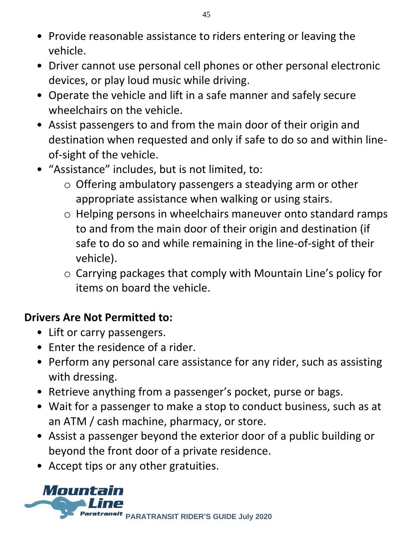- Provide reasonable assistance to riders entering or leaving the vehicle.
- Driver cannot use personal cell phones or other personal electronic devices, or play loud music while driving.
- Operate the vehicle and lift in a safe manner and safely secure wheelchairs on the vehicle.
- Assist passengers to and from the main door of their origin and destination when requested and only if safe to do so and within lineof-sight of the vehicle.
- "Assistance" includes, but is not limited, to:
	- o Offering ambulatory passengers a steadying arm or other appropriate assistance when walking or using stairs.
	- o Helping persons in wheelchairs maneuver onto standard ramps to and from the main door of their origin and destination (if safe to do so and while remaining in the line-of-sight of their vehicle).
	- o Carrying packages that comply with Mountain Line's policy for items on board the vehicle.

#### **Drivers Are Not Permitted to:**

- Lift or carry passengers.
- Enter the residence of a rider.
- Perform any personal care assistance for any rider, such as assisting with dressing.
- Retrieve anything from a passenger's pocket, purse or bags.
- Wait for a passenger to make a stop to conduct business, such as at an ATM / cash machine, pharmacy, or store.
- Assist a passenger beyond the exterior door of a public building or beyond the front door of a private residence.
- Accept tips or any other gratuities.

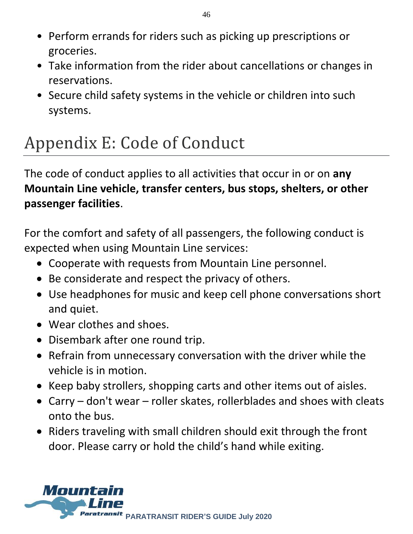- Perform errands for riders such as picking up prescriptions or groceries.
- Take information from the rider about cancellations or changes in reservations.
- Secure child safety systems in the vehicle or children into such systems.

# Appendix E: Code of Conduct

The code of conduct applies to all activities that occur in or on **any Mountain Line vehicle, transfer centers, bus stops, shelters, or other passenger facilities**.

For the comfort and safety of all passengers, the following conduct is expected when using Mountain Line services:

- Cooperate with requests from Mountain Line personnel.
- Be considerate and respect the privacy of others.
- Use headphones for music and keep cell phone conversations short and quiet.
- Wear clothes and shoes.
- Disembark after one round trip.
- Refrain from unnecessary conversation with the driver while the vehicle is in motion.
- Keep baby strollers, shopping carts and other items out of aisles.
- Carry don't wear roller skates, rollerblades and shoes with cleats onto the bus.
- Riders traveling with small children should exit through the front door. Please carry or hold the child's hand while exiting.

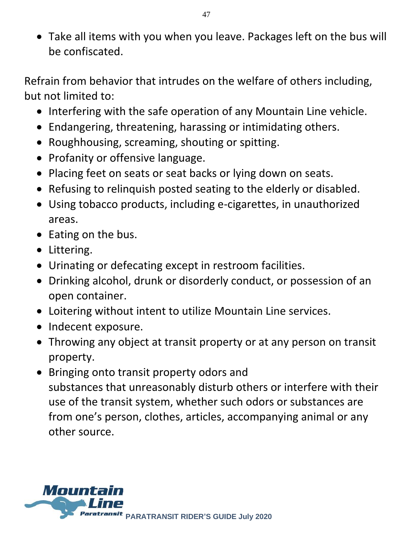• Take all items with you when you leave. Packages left on the bus will be confiscated. 

Refrain from behavior that intrudes on the welfare of others including, but not limited to:

- Interfering with the safe operation of any Mountain Line vehicle.
- Endangering, threatening, harassing or intimidating others.
- Roughhousing, screaming, shouting or spitting.
- Profanity or offensive language.
- Placing feet on seats or seat backs or lying down on seats.
- Refusing to relinquish posted seating to the elderly or disabled.
- Using tobacco products, including e-cigarettes, in unauthorized areas.
- Eating on the bus.
- Littering.
- Urinating or defecating except in restroom facilities.
- Drinking alcohol, drunk or disorderly conduct, or possession of an open container.
- Loitering without intent to utilize Mountain Line services.
- Indecent exposure.
- Throwing any object at transit property or at any person on transit property.
- Bringing onto transit property odors and substances that unreasonably disturb others or interfere with their use of the transit system, whether such odors or substances are from one's person, clothes, articles, accompanying animal or any other source.

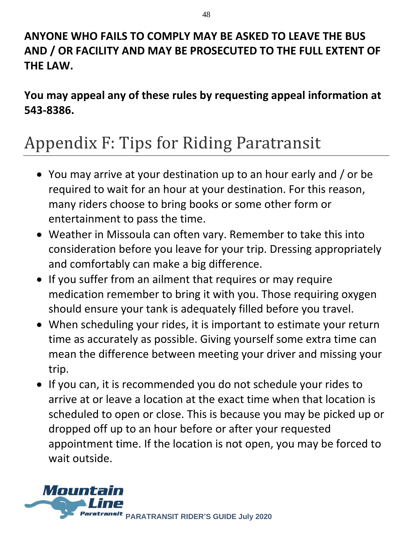#### **ANYONE WHO FAILS TO COMPLY MAY BE ASKED TO LEAVE THE BUS AND / OR FACILITY AND MAY BE PROSECUTED TO THE FULL EXTENT OF THE LAW.**

**You may appeal any of these rules by requesting appeal information at 543-8386.**

### Appendix F: Tips for Riding Paratransit

- You may arrive at your destination up to an hour early and / or be required to wait for an hour at your destination. For this reason, many riders choose to bring books or some other form or entertainment to pass the time.
- Weather in Missoula can often vary. Remember to take this into consideration before you leave for your trip. Dressing appropriately and comfortably can make a big difference.
- If you suffer from an ailment that requires or may require medication remember to bring it with you. Those requiring oxygen should ensure your tank is adequately filled before you travel.
- When scheduling your rides, it is important to estimate your return time as accurately as possible. Giving yourself some extra time can mean the difference between meeting your driver and missing your trip.
- If you can, it is recommended you do not schedule your rides to arrive at or leave a location at the exact time when that location is scheduled to open or close. This is because you may be picked up or dropped off up to an hour before or after your requested appointment time. If the location is not open, you may be forced to wait outside.

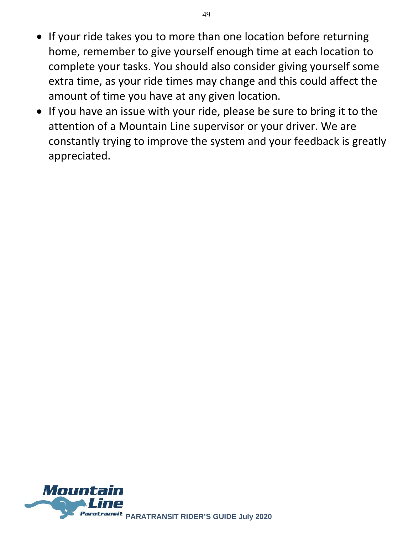- If your ride takes you to more than one location before returning home, remember to give yourself enough time at each location to complete your tasks. You should also consider giving yourself some extra time, as your ride times may change and this could affect the amount of time you have at any given location.
- If you have an issue with your ride, please be sure to bring it to the attention of a Mountain Line supervisor or your driver. We are constantly trying to improve the system and your feedback is greatly appreciated.

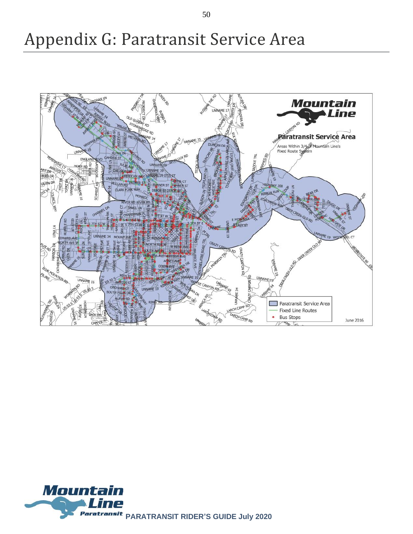### Appendix G: Paratransit Service Area





50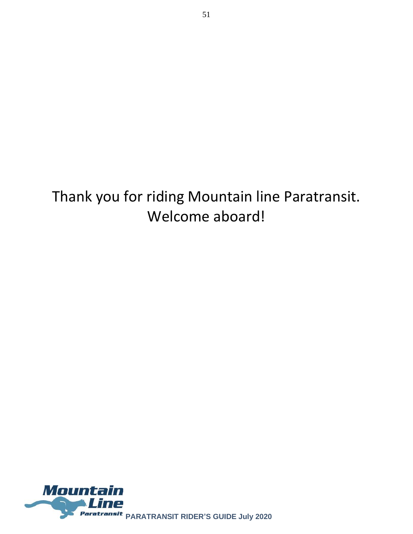Thank you for riding Mountain line Paratransit. Welcome aboard!